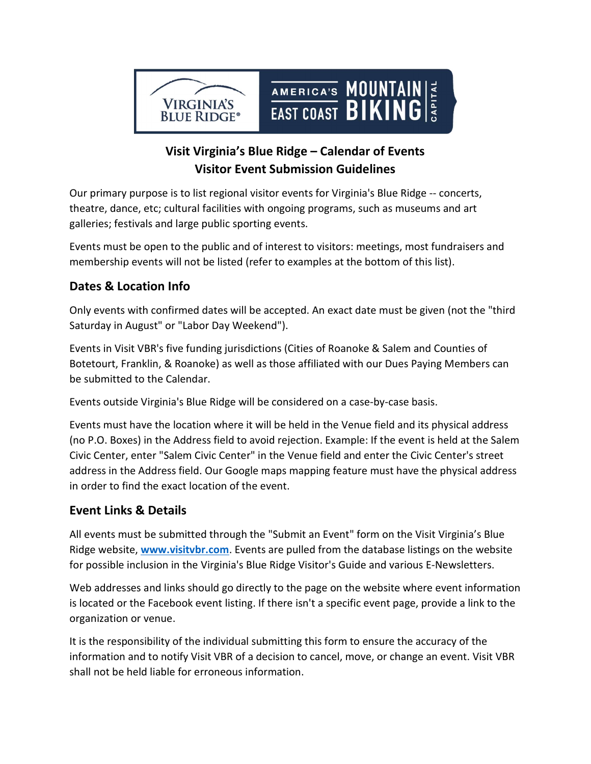

# Visit Virginia's Blue Ridge – Calendar of Events Visitor Event Submission Guidelines

Our primary purpose is to list regional visitor events for Virginia's Blue Ridge -- concerts, theatre, dance, etc; cultural facilities with ongoing programs, such as museums and art galleries; festivals and large public sporting events.

Events must be open to the public and of interest to visitors: meetings, most fundraisers and membership events will not be listed (refer to examples at the bottom of this list).

# Dates & Location Info

Only events with confirmed dates will be accepted. An exact date must be given (not the "third Saturday in August" or "Labor Day Weekend").

Events in Visit VBR's five funding jurisdictions (Cities of Roanoke & Salem and Counties of Botetourt, Franklin, & Roanoke) as well as those affiliated with our Dues Paying Members can be submitted to the Calendar.

Events outside Virginia's Blue Ridge will be considered on a case-by-case basis.

Events must have the location where it will be held in the Venue field and its physical address (no P.O. Boxes) in the Address field to avoid rejection. Example: If the event is held at the Salem Civic Center, enter "Salem Civic Center" in the Venue field and enter the Civic Center's street address in the Address field. Our Google maps mapping feature must have the physical address in order to find the exact location of the event.

# Event Links & Details

All events must be submitted through the "Submit an Event" form on the Visit Virginia's Blue Ridge website, www.visitybr.com. Events are pulled from the database listings on the website for possible inclusion in the Virginia's Blue Ridge Visitor's Guide and various E-Newsletters.

Web addresses and links should go directly to the page on the website where event information is located or the Facebook event listing. If there isn't a specific event page, provide a link to the organization or venue.

It is the responsibility of the individual submitting this form to ensure the accuracy of the information and to notify Visit VBR of a decision to cancel, move, or change an event. Visit VBR shall not be held liable for erroneous information.